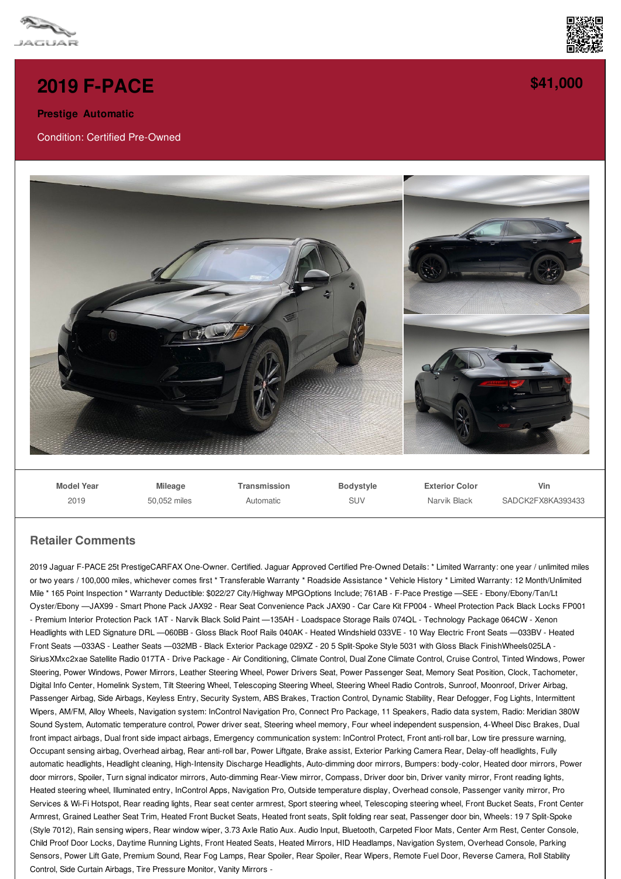



**[\\$41,000](/used-certified/pdf/)**

## **2019 [F-PACE](/used-certified/pdf/)**

**Prestige Automatic**

Condition: Certified Pre-Owned



**Model Year** 2019 **Mileage** 50,052 miles **Transmission** Automatic **Bodystyle** SUV **Exterior Color** Narvik Black **Vin** SADCK2FX8KA393433

## **Retailer Comments**

2019 Jaguar F-PACE 25t PrestigeCARFAX One-Owner. Certified. Jaguar Approved Certified Pre-Owned Details: \* Limited Warranty: one year / unlimited miles or two years / 100,000 miles, whichever comes first \* Transferable Warranty \* Roadside Assistance \* Vehicle History \* Limited Warranty: 12 Month/Unlimited Mile \* 165 Point Inspection \* Warranty Deductible: \$022/27 City/Highway MPGOptions Include; 761AB - F-Pace Prestige —SEE - Ebony/Ebony/Tan/Lt Oyster/Ebony —JAX99 - Smart Phone Pack JAX92 - Rear Seat Convenience Pack JAX90 - Car Care Kit FP004 - Wheel Protection Pack Black Locks FP001 - Premium Interior Protection Pack 1AT - Narvik Black Solid Paint —135AH - Loadspace Storage Rails 074QL - Technology Package 064CW - Xenon Headlights with LED Signature DRL —060BB - Gloss Black Roof Rails 040AK - Heated Windshield 033VE - 10 Way Electric Front Seats —033BV - Heated Front Seats —033AS - Leather Seats —032MB - Black Exterior Package 029XZ - 20 5 Split-Spoke Style 5031 with Gloss Black FinishWheels025LA - SiriusXMxc2xae Satellite Radio 017TA - Drive Package - Air Conditioning, Climate Control, Dual Zone Climate Control, Cruise Control, Tinted Windows, Power Steering, Power Windows, Power Mirrors, Leather Steering Wheel, Power Drivers Seat, Power Passenger Seat, Memory Seat Position, Clock, Tachometer, Digital Info Center, Homelink System, Tilt Steering Wheel, Telescoping Steering Wheel, Steering Wheel Radio Controls, Sunroof, Moonroof, Driver Airbag, Passenger Airbag, Side Airbags, Keyless Entry, Security System, ABS Brakes, Traction Control, Dynamic Stability, Rear Defogger, Fog Lights, Intermittent Wipers, AM/FM, Alloy Wheels, Navigation system: InControl Navigation Pro, Connect Pro Package, 11 Speakers, Radio data system, Radio: Meridian 380W Sound System, Automatic temperature control, Power driver seat, Steering wheel memory, Four wheel independent suspension, 4-Wheel Disc Brakes, Dual front impact airbags, Dual front side impact airbags, Emergency communication system: InControl Protect, Front anti-roll bar, Low tire pressure warning, Occupant sensing airbag, Overhead airbag, Rear anti-roll bar, Power Liftgate, Brake assist, Exterior Parking Camera Rear, Delay-off headlights, Fully automatic headlights, Headlight cleaning, High-Intensity Discharge Headlights, Auto-dimming door mirrors, Bumpers: body-color, Heated door mirrors, Power door mirrors, Spoiler, Turn signal indicator mirrors, Auto-dimming Rear-View mirror, Compass, Driver door bin, Driver vanity mirror, Front reading lights, Heated steering wheel, Illuminated entry, InControl Apps, Navigation Pro, Outside temperature display, Overhead console, Passenger vanity mirror, Pro Services & Wi-Fi Hotspot, Rear reading lights, Rear seat center armrest, Sport steering wheel, Telescoping steering wheel, Front Bucket Seats, Front Center Armrest, Grained Leather Seat Trim, Heated Front Bucket Seats, Heated front seats, Split folding rear seat, Passenger door bin, Wheels: 19 7 Split-Spoke (Style 7012), Rain sensing wipers, Rear window wiper, 3.73 Axle Ratio Aux. Audio Input, Bluetooth, Carpeted Floor Mats, Center Arm Rest, Center Console, Child Proof Door Locks, Daytime Running Lights, Front Heated Seats, Heated Mirrors, HID Headlamps, Navigation System, Overhead Console, Parking Sensors, Power Lift Gate, Premium Sound, Rear Fog Lamps, Rear Spoiler, Rear Spoiler, Rear Wipers, Remote Fuel Door, Reverse Camera, Roll Stability Control, Side Curtain Airbags, Tire Pressure Monitor, Vanity Mirrors -